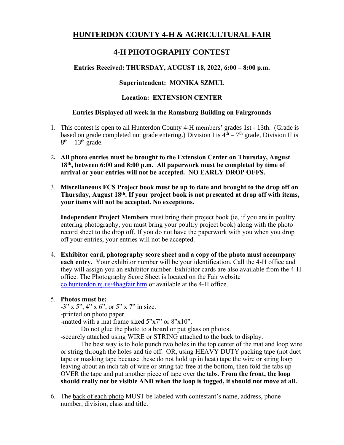# **HUNTERDON COUNTY 4-H & AGRICULTURAL FAIR**

# **4-H PHOTOGRAPHY CONTEST**

## **Entries Received: THURSDAY, AUGUST 18, 2022, 6:00 – 8:00 p.m.**

## **Superintendent: MONIKA SZMUL**

## **Location: EXTENSION CENTER**

### **Entries Displayed all week in the Ramsburg Building on Fairgrounds**

- 1. This contest is open to all Hunterdon County 4-H members' grades 1st 13th. (Grade is based on grade completed not grade entering.) Division I is  $4<sup>th</sup> - 7<sup>th</sup>$  grade, Division II is  $8<sup>th</sup> - 13<sup>th</sup>$  grade.
- 2**. All photo entries must be brought to the Extension Center on Thursday, August 18 th, between 6:00 and 8:00 p.m. All paperwork must be completed by time of arrival or your entries will not be accepted. NO EARLY DROP OFFS.**
- 3. **Miscellaneous FCS Project book must be up to date and brought to the drop off on**  Thursday, August 18<sup>th</sup>. If your project book is not presented at drop off with items, **your items will not be accepted. No exceptions.**

**Independent Project Members** must bring their project book (ie, if you are in poultry entering photography, you must bring your poultry project book) along with the photo record sheet to the drop off. If you do not have the paperwork with you when you drop off your entries, your entries will not be accepted.

4. **Exhibitor card, photography score sheet and a copy of the photo must accompany each entry.** Your exhibitor number will be your identification. Call the 4-H office and they will assign you an exhibitor number. Exhibitor cards are also available from the 4-H office. The Photography Score Sheet is located on the Fair website co.hunterdon.nj.us/4hagfair.htm or available at the 4-H office.

#### 5. **Photos must be:**

-3" x 5", 4" x 6", or 5" x 7" in size.

-printed on photo paper.

-matted with a mat frame sized 5"x7" or 8"x10".

Do not glue the photo to a board or put glass on photos.

-securely attached using WIRE or STRING attached to the back to display.

The best way is to hole punch two holes in the top center of the mat and loop wire or string through the holes and tie off. OR, using HEAVY DUTY packing tape (not duct tape or masking tape because these do not hold up in heat) tape the wire or string loop leaving about an inch tab of wire or string tab free at the bottom, then fold the tabs up OVER the tape and put another piece of tape over the tabs. **From the front, the loop should really not be visible AND when the loop is tugged, it should not move at all.**

6. The back of each photo MUST be labeled with contestant's name, address, phone number, division, class and title.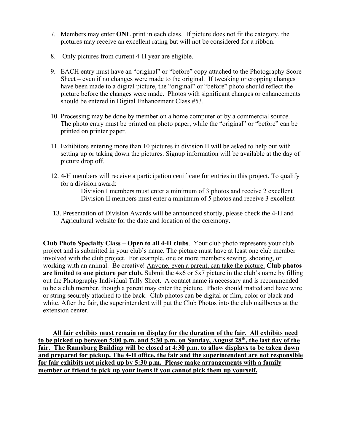- 7. Members may enter **ONE** print in each class. If picture does not fit the category, the pictures may receive an excellent rating but will not be considered for a ribbon.
- 8. Only pictures from current 4-H year are eligible.
- 9. EACH entry must have an "original" or "before" copy attached to the Photography Score Sheet – even if no changes were made to the original. If tweaking or cropping changes have been made to a digital picture, the "original" or "before" photo should reflect the picture before the changes were made. Photos with significant changes or enhancements should be entered in Digital Enhancement Class #53.
- 10. Processing may be done by member on a home computer or by a commercial source. The photo entry must be printed on photo paper, while the "original" or "before" can be printed on printer paper.
- 11. Exhibitors entering more than 10 pictures in division II will be asked to help out with setting up or taking down the pictures. Signup information will be available at the day of picture drop off.
- 12. 4-H members will receive a participation certificate for entries in this project. To qualify for a division award:

Division I members must enter a minimum of 3 photos and receive 2 excellent Division II members must enter a minimum of 5 photos and receive 3 excellent

13. Presentation of Division Awards will be announced shortly, please check the 4-H and Agricultural website for the date and location of the ceremony.

**Club Photo Specialty Class – Open to all 4-H clubs**. Your club photo represents your club project and is submitted in your club's name. The picture must have at least one club member involved with the club project. For example, one or more members sewing, shooting, or working with an animal. Be creative! Anyone, even a parent, can take the picture. **Club photos are limited to one picture per club.** Submit the 4x6 or 5x7 picture in the club's name by filling out the Photography Individual Tally Sheet. A contact name is necessary and is recommended to be a club member, though a parent may enter the picture. Photo should matted and have wire or string securely attached to the back. Club photos can be digital or film, color or black and white. After the fair, the superintendent will put the Club Photos into the club mailboxes at the extension center.

**All fair exhibits must remain on display for the duration of the fair. All exhibits need to be picked up between 5:00 p.m. and 5:30 p.m. on Sunday, August 28<sup>th</sup>, the last day of the fair. The Ramsburg Building will be closed at 4:30 p.m. to allow displays to be taken down and prepared for pickup. The 4-H office, the fair and the superintendent are not responsible for fair exhibits not picked up by 5:30 p.m. Please make arrangements with a family member or friend to pick up your items if you cannot pick them up yourself.**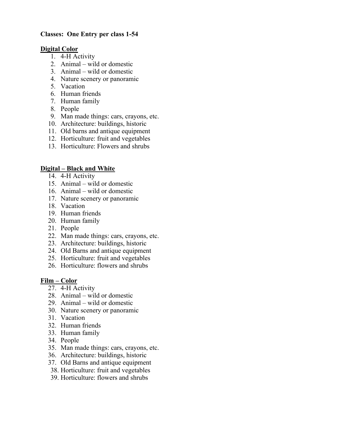## **Classes: One Entry per class 1-54**

#### **Digital Color**

- 1. 4-H Activity
- 2. Animal wild or domestic
- 3. Animal wild or domestic
- 4. Nature scenery or panoramic
- 5. Vacation
- 6. Human friends
- 7. Human family
- 8. People
- 9. Man made things: cars, crayons, etc.
- 10. Architecture: buildings, historic
- 11. Old barns and antique equipment
- 12. Horticulture: fruit and vegetables
- 13. Horticulture: Flowers and shrubs

## **Digital – Black and White**

- 14. 4-H Activity
- 15. Animal wild or domestic
- 16. Animal wild or domestic
- 17. Nature scenery or panoramic
- 18. Vacation
- 19. Human friends
- 20. Human family
- 21. People
- 22. Man made things: cars, crayons, etc.
- 23. Architecture: buildings, historic
- 24. Old Barns and antique equipment
- 25. Horticulture: fruit and vegetables
- 26. Horticulture: flowers and shrubs

## **Film – Color**

- 27. 4-H Activity
- 28. Animal wild or domestic
- 29. Animal wild or domestic
- 30. Nature scenery or panoramic
- 31. Vacation
- 32. Human friends
- 33. Human family
- 34. People
- 35. Man made things: cars, crayons, etc.
- 36. Architecture: buildings, historic
- 37. Old Barns and antique equipment
- 38. Horticulture: fruit and vegetables
- 39. Horticulture: flowers and shrubs